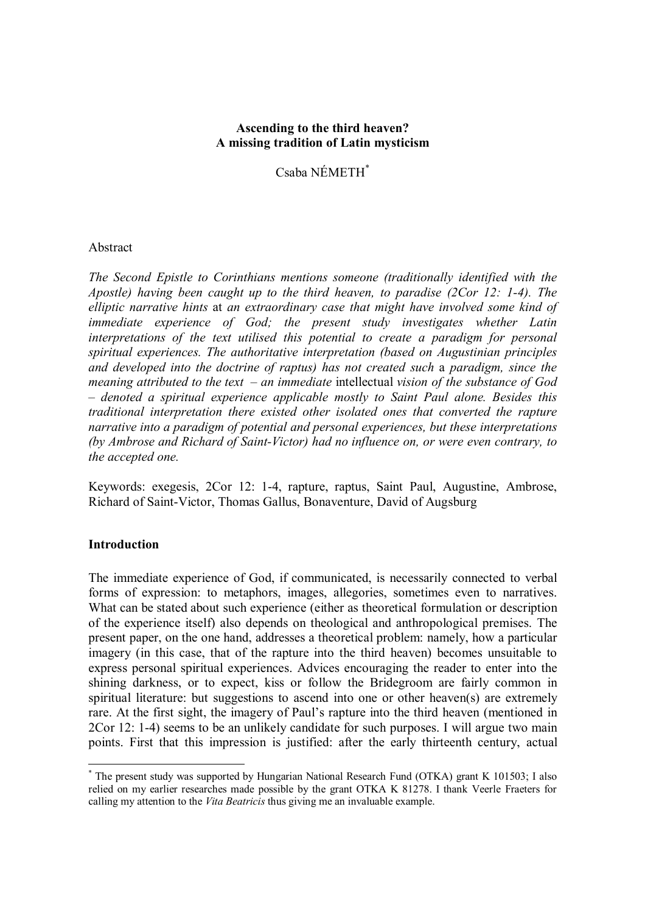# **Ascending to the third heaven? A missing tradition of Latin mysticism**

Csaba NÉMETH\*

## Abstract

*The Second Epistle to Corinthians mentions someone (traditionally identified with the Apostle) having been caught up to the third heaven, to paradise (2Cor 12: 1-4). The elliptic narrative hints* at *an extraordinary case that might have involved some kind of immediate experience of God; the present study investigates whether Latin interpretations of the text utilised this potential to create a paradigm for personal spiritual experiences. The authoritative interpretation (based on Augustinian principles and developed into the doctrine of raptus) has not created such* a *paradigm, since the meaning attributed to the text – an immediate* intellectual *vision of the substance of God – denoted a spiritual experience applicable mostly to Saint Paul alone. Besides this traditional interpretation there existed other isolated ones that converted the rapture narrative into a paradigm of potential and personal experiences, but these interpretations (by Ambrose and Richard of Saint-Victor) had no influence on, or were even contrary, to the accepted one.*

Keywords: exegesis, 2Cor 12: 1-4, rapture, raptus, Saint Paul, Augustine, Ambrose, Richard of Saint-Victor, Thomas Gallus, Bonaventure, David of Augsburg

# **Introduction**

The immediate experience of God, if communicated, is necessarily connected to verbal forms of expression: to metaphors, images, allegories, sometimes even to narratives. What can be stated about such experience (either as theoretical formulation or description of the experience itself) also depends on theological and anthropological premises. The present paper, on the one hand, addresses a theoretical problem: namely, how a particular imagery (in this case, that of the rapture into the third heaven) becomes unsuitable to express personal spiritual experiences. Advices encouraging the reader to enter into the shining darkness, or to expect, kiss or follow the Bridegroom are fairly common in spiritual literature: but suggestions to ascend into one or other heaven(s) are extremely rare. At the first sight, the imagery of Paul's rapture into the third heaven (mentioned in 2Cor 12: 1-4) seems to be an unlikely candidate for such purposes. I will argue two main points. First that this impression is justified: after the early thirteenth century, actual

 $\overline{a}$ \* The present study was supported by Hungarian National Research Fund (OTKA) grant K 101503; I also relied on my earlier researches made possible by the grant OTKA K 81278. I thank Veerle Fraeters for calling my attention to the *Vita Beatricis* thus giving me an invaluable example.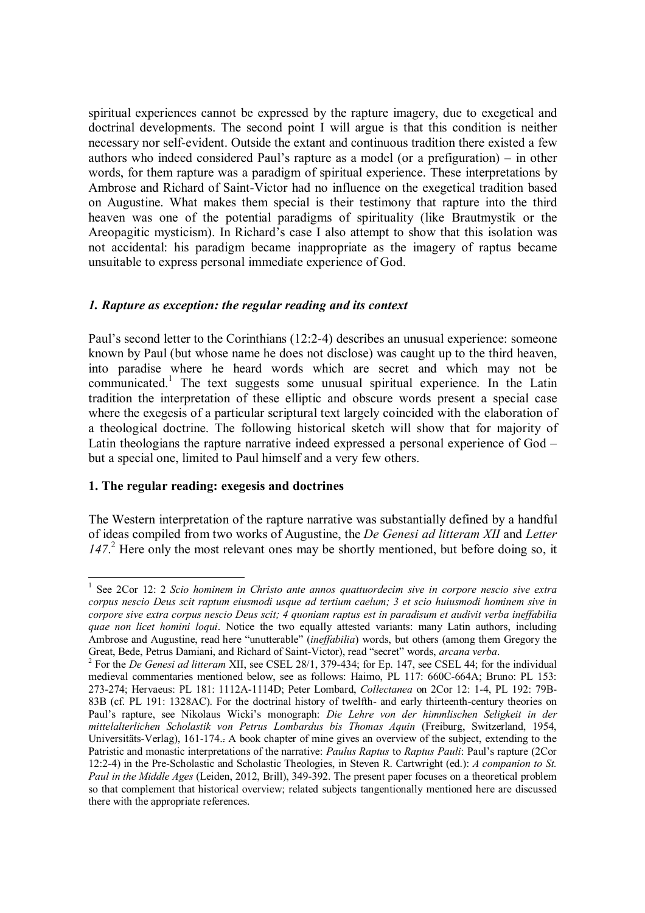spiritual experiences cannot be expressed by the rapture imagery, due to exegetical and doctrinal developments. The second point I will argue is that this condition is neither necessary nor self-evident. Outside the extant and continuous tradition there existed a few authors who indeed considered Paul's rapture as a model (or a prefiguration) – in other words, for them rapture was a paradigm of spiritual experience. These interpretations by Ambrose and Richard of Saint-Victor had no influence on the exegetical tradition based on Augustine. What makes them special is their testimony that rapture into the third heaven was one of the potential paradigms of spirituality (like Brautmystik or the Areopagitic mysticism). In Richard's case I also attempt to show that this isolation was not accidental: his paradigm became inappropriate as the imagery of raptus became unsuitable to express personal immediate experience of God.

# *1. Rapture as exception: the regular reading and its context*

Paul's second letter to the Corinthians (12:2-4) describes an unusual experience: someone known by Paul (but whose name he does not disclose) was caught up to the third heaven, into paradise where he heard words which are secret and which may not be communicated.<sup>1</sup> The text suggests some unusual spiritual experience. In the Latin tradition the interpretation of these elliptic and obscure words present a special case where the exegesis of a particular scriptural text largely coincided with the elaboration of a theological doctrine. The following historical sketch will show that for majority of Latin theologians the rapture narrative indeed expressed a personal experience of God *–* but a special one, limited to Paul himself and a very few others.

# **1. The regular reading: exegesis and doctrines**

The Western interpretation of the rapture narrative was substantially defined by a handful of ideas compiled from two works of Augustine, the *De Genesi ad litteram XII* and *Letter* 147.<sup>2</sup> Here only the most relevant ones may be shortly mentioned, but before doing so, it

 1 See 2Cor 12: 2 *Scio hominem in Christo ante annos quattuordecim sive in corpore nescio sive extra corpus nescio Deus scit raptum eiusmodi usque ad tertium caelum; 3 et scio huiusmodi hominem sive in corpore sive extra corpus nescio Deus scit; 4 quoniam raptus est in paradisum et audivit verba ineffabilia quae non licet homini loqui*. Notice the two equally attested variants: many Latin authors, including Ambrose and Augustine, read here "unutterable" (*ineffabilia*) words, but others (among them Gregory the

Great, Bede, Petrus Damiani, and Richard of Saint-Victor), read "secret" words, *arcana verba*. 2 For the *De Genesi ad litteram* XII, see CSEL 28/1, 379-434; for Ep. 147, see CSEL 44; for the individual medieval commentaries mentioned below, see as follows: Haimo, PL 117: 660C-664A; Bruno: PL 153: 273-274; Hervaeus: PL 181: 1112A-1114D; Peter Lombard, *Collectanea* on 2Cor 12: 1-4, PL 192: 79B-83B (cf. PL 191: 1328AC). For the doctrinal history of twelfth- and early thirteenth-century theories on Paul's rapture, see Nikolaus Wicki's monograph: *Die Lehre von der himmlischen Seligkeit in der mittelalterlichen Scholastik von Petrus Lombardus bis Thomas Aquin* (Freiburg, Switzerland, 1954, Universitäts-Verlag), 161-174. A book chapter of mine gives an overview of the subject, extending to the Patristic and monastic interpretations of the narrative: *Paulus Raptus* to *Raptus Pauli*: Paul's rapture (2Cor 12:2-4) in the Pre-Scholastic and Scholastic Theologies, in Steven R. Cartwright (ed.): *A companion to St. Paul in the Middle Ages* (Leiden, 2012, Brill), 349-392. The present paper focuses on a theoretical problem so that complement that historical overview; related subjects tangentionally mentioned here are discussed there with the appropriate references.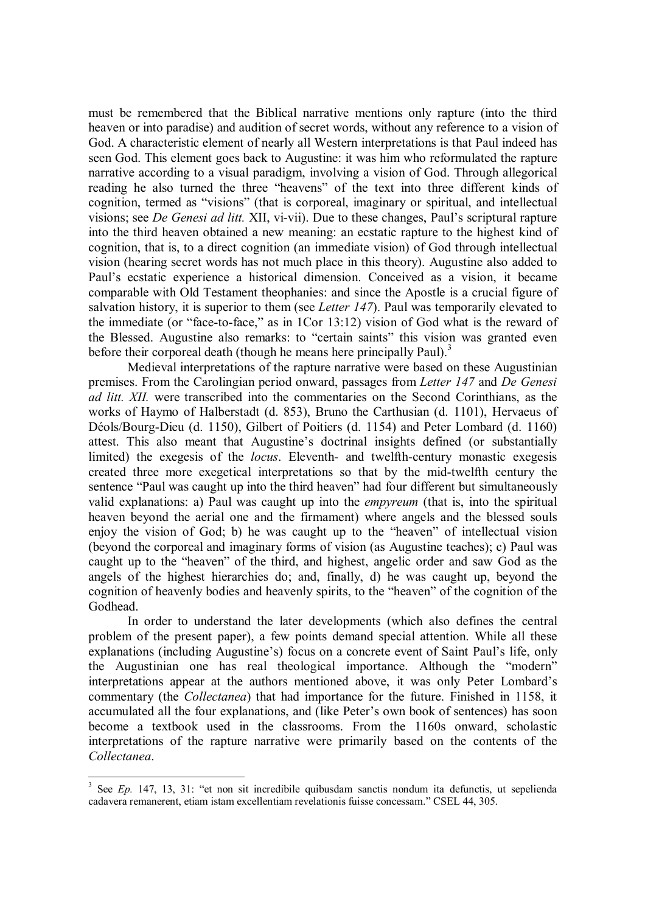must be remembered that the Biblical narrative mentions only rapture (into the third heaven or into paradise) and audition of secret words, without any reference to a vision of God. A characteristic element of nearly all Western interpretations is that Paul indeed has seen God. This element goes back to Augustine: it was him who reformulated the rapture narrative according to a visual paradigm, involving a vision of God. Through allegorical reading he also turned the three "heavens" of the text into three different kinds of cognition, termed as "visions" (that is corporeal, imaginary or spiritual, and intellectual visions; see *De Genesi ad litt.* XII, vi-vii). Due to these changes, Paul's scriptural rapture into the third heaven obtained a new meaning: an ecstatic rapture to the highest kind of cognition, that is, to a direct cognition (an immediate vision) of God through intellectual vision (hearing secret words has not much place in this theory). Augustine also added to Paul's ecstatic experience a historical dimension. Conceived as a vision, it became comparable with Old Testament theophanies: and since the Apostle is a crucial figure of salvation history, it is superior to them (see *Letter 147*). Paul was temporarily elevated to the immediate (or "face-to-face," as in 1Cor 13:12) vision of God what is the reward of the Blessed. Augustine also remarks: to "certain saints" this vision was granted even before their corporeal death (though he means here principally Paul).<sup>3</sup>

Medieval interpretations of the rapture narrative were based on these Augustinian premises. From the Carolingian period onward, passages from *Letter 147* and *De Genesi ad litt. XII.* were transcribed into the commentaries on the Second Corinthians, as the works of Haymo of Halberstadt (d. 853), Bruno the Carthusian (d. 1101), Hervaeus of Déols/Bourg-Dieu (d. 1150), Gilbert of Poitiers (d. 1154) and Peter Lombard (d. 1160) attest. This also meant that Augustine's doctrinal insights defined (or substantially limited) the exegesis of the *locus*. Eleventh- and twelfth-century monastic exegesis created three more exegetical interpretations so that by the mid-twelfth century the sentence "Paul was caught up into the third heaven" had four different but simultaneously valid explanations: a) Paul was caught up into the *empyreum* (that is, into the spiritual heaven beyond the aerial one and the firmament) where angels and the blessed souls enjoy the vision of God; b) he was caught up to the "heaven" of intellectual vision (beyond the corporeal and imaginary forms of vision (as Augustine teaches); c) Paul was caught up to the "heaven" of the third, and highest, angelic order and saw God as the angels of the highest hierarchies do; and, finally, d) he was caught up, beyond the cognition of heavenly bodies and heavenly spirits, to the "heaven" of the cognition of the Godhead.

In order to understand the later developments (which also defines the central problem of the present paper), a few points demand special attention. While all these explanations (including Augustine's) focus on a concrete event of Saint Paul's life, only the Augustinian one has real theological importance. Although the "modern" interpretations appear at the authors mentioned above, it was only Peter Lombard's commentary (the *Collectanea*) that had importance for the future. Finished in 1158, it accumulated all the four explanations, and (like Peter's own book of sentences) has soon become a textbook used in the classrooms. From the 1160s onward, scholastic interpretations of the rapture narrative were primarily based on the contents of the *Collectanea*.

<sup>&</sup>lt;sup>3</sup> See *Ep.* 147, 13, 31: "et non sit incredibile quibusdam sanctis nondum ita defunctis, ut sepelienda cadavera remanerent, etiam istam excellentiam revelationis fuisse concessam." CSEL 44, 305.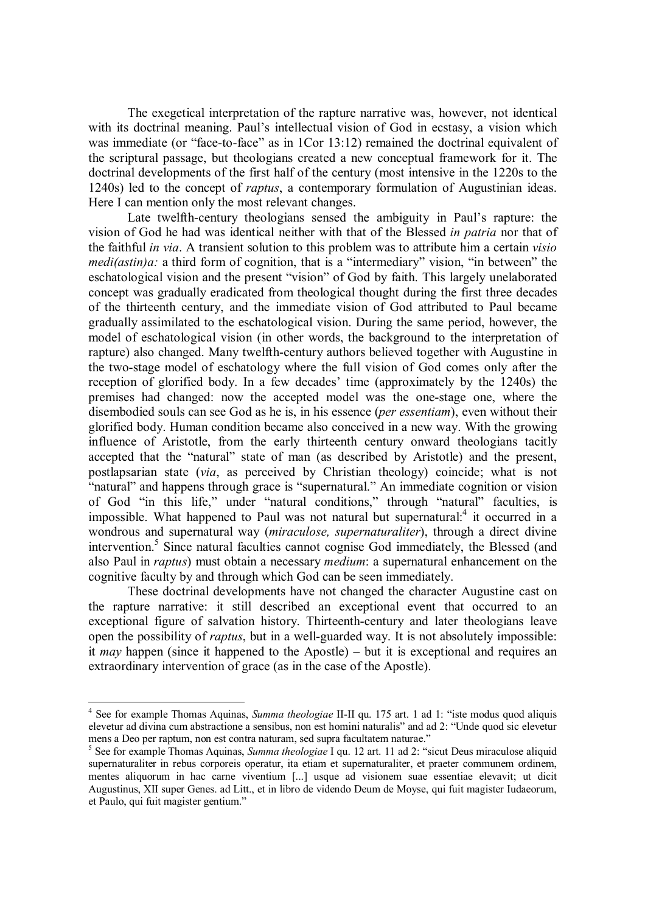The exegetical interpretation of the rapture narrative was, however, not identical with its doctrinal meaning. Paul's intellectual vision of God in ecstasy, a vision which was immediate (or "face-to-face" as in 1Cor 13:12) remained the doctrinal equivalent of the scriptural passage, but theologians created a new conceptual framework for it. The doctrinal developments of the first half of the century (most intensive in the 1220s to the 1240s) led to the concept of *raptus*, a contemporary formulation of Augustinian ideas. Here I can mention only the most relevant changes.

Late twelfth-century theologians sensed the ambiguity in Paul's rapture: the vision of God he had was identical neither with that of the Blessed *in patria* nor that of the faithful *in via*. A transient solution to this problem was to attribute him a certain *visio medi(astin)a:* a third form of cognition, that is a "intermediary" vision, "in between" the eschatological vision and the present "vision" of God by faith. This largely unelaborated concept was gradually eradicated from theological thought during the first three decades of the thirteenth century, and the immediate vision of God attributed to Paul became gradually assimilated to the eschatological vision. During the same period, however, the model of eschatological vision (in other words, the background to the interpretation of rapture) also changed. Many twelfth-century authors believed together with Augustine in the two-stage model of eschatology where the full vision of God comes only after the reception of glorified body. In a few decades' time (approximately by the 1240s) the premises had changed: now the accepted model was the one-stage one, where the disembodied souls can see God as he is, in his essence (*per essentiam*), even without their glorified body. Human condition became also conceived in a new way. With the growing influence of Aristotle, from the early thirteenth century onward theologians tacitly accepted that the "natural" state of man (as described by Aristotle) and the present, postlapsarian state (*via*, as perceived by Christian theology) coincide; what is not "natural" and happens through grace is "supernatural." An immediate cognition or vision of God "in this life," under "natural conditions," through "natural" faculties, is impossible. What happened to Paul was not natural but supernatural:<sup>4</sup> it occurred in a wondrous and supernatural way (*miraculose, supernaturaliter*), through a direct divine intervention.<sup>5</sup> Since natural faculties cannot cognise God immediately, the Blessed (and also Paul in *raptus*) must obtain a necessary *medium*: a supernatural enhancement on the cognitive faculty by and through which God can be seen immediately.

These doctrinal developments have not changed the character Augustine cast on the rapture narrative: it still described an exceptional event that occurred to an exceptional figure of salvation history. Thirteenth-century and later theologians leave open the possibility of *raptus*, but in a well-guarded way. It is not absolutely impossible: it *may* happen (since it happened to the Apostle) *–* but it is exceptional and requires an extraordinary intervention of grace (as in the case of the Apostle).

<sup>4</sup> See for example Thomas Aquinas, *Summa theologiae* II-II qu. 175 art. 1 ad 1: "iste modus quod aliquis elevetur ad divina cum abstractione a sensibus, non est homini naturalis" and ad 2: "Unde quod sic elevetur mens a Deo per raptum, non est contra naturam, sed supra facultatem naturae."

<sup>5</sup> See for example Thomas Aquinas, *Summa theologiae* I qu. 12 art. 11 ad 2: "sicut Deus miraculose aliquid supernaturaliter in rebus corporeis operatur, ita etiam et supernaturaliter, et praeter communem ordinem, mentes aliquorum in hac carne viventium [...] usque ad visionem suae essentiae elevavit; ut dicit Augustinus, XII super Genes. ad Litt., et in libro de videndo Deum de Moyse, qui fuit magister Iudaeorum, et Paulo, qui fuit magister gentium."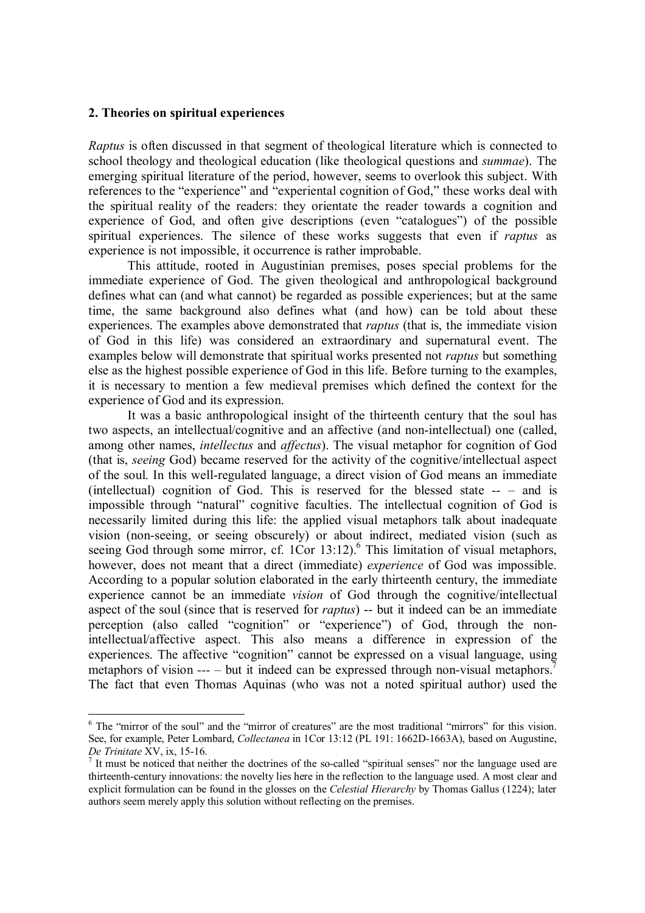## **2. Theories on spiritual experiences**

*Raptus* is often discussed in that segment of theological literature which is connected to school theology and theological education (like theological questions and *summae*). The emerging spiritual literature of the period, however, seems to overlook this subject. With references to the "experience" and "experiental cognition of God," these works deal with the spiritual reality of the readers: they orientate the reader towards a cognition and experience of God, and often give descriptions (even "catalogues") of the possible spiritual experiences. The silence of these works suggests that even if *raptus* as experience is not impossible, it occurrence is rather improbable.

This attitude, rooted in Augustinian premises, poses special problems for the immediate experience of God. The given theological and anthropological background defines what can (and what cannot) be regarded as possible experiences; but at the same time, the same background also defines what (and how) can be told about these experiences. The examples above demonstrated that *raptus* (that is, the immediate vision of God in this life) was considered an extraordinary and supernatural event. The examples below will demonstrate that spiritual works presented not *raptus* but something else as the highest possible experience of God in this life. Before turning to the examples, it is necessary to mention a few medieval premises which defined the context for the experience of God and its expression.

It was a basic anthropological insight of the thirteenth century that the soul has two aspects, an intellectual/cognitive and an affective (and non-intellectual) one (called, among other names, *intellectus* and *affectus*). The visual metaphor for cognition of God (that is, *seeing* God) became reserved for the activity of the cognitive/intellectual aspect of the soul. In this well-regulated language, a direct vision of God means an immediate (intellectual) cognition of God. This is reserved for the blessed state  $-$  – and is impossible through "natural" cognitive faculties. The intellectual cognition of God is necessarily limited during this life: the applied visual metaphors talk about inadequate vision (non-seeing, or seeing obscurely) or about indirect, mediated vision (such as seeing God through some mirror, cf.  $1$ Cor  $13:12$ ).<sup>6</sup> This limitation of visual metaphors, however, does not meant that a direct (immediate) *experience* of God was impossible. According to a popular solution elaborated in the early thirteenth century, the immediate experience cannot be an immediate *vision* of God through the cognitive/intellectual aspect of the soul (since that is reserved for *raptus*) -- but it indeed can be an immediate perception (also called "cognition" or "experience") of God, through the nonintellectual/affective aspect. This also means a difference in expression of the experiences. The affective "cognition" cannot be expressed on a visual language, using metaphors of vision --- – but it indeed can be expressed through non-visual metaphors.<sup>7</sup> The fact that even Thomas Aquinas (who was not a noted spiritual author) used the

<sup>&</sup>lt;sup>6</sup> The "mirror of the soul" and the "mirror of creatures" are the most traditional "mirrors" for this vision. See, for example, Peter Lombard, *Collectanea* in 1Cor 13:12 (PL 191: 1662D-1663A), based on Augustine, *De Trinitate* XV, ix, 15-16.

<sup>&</sup>lt;sup>7</sup> It must be noticed that neither the doctrines of the so-called "spiritual senses" nor the language used are thirteenth-century innovations: the novelty lies here in the reflection to the language used. A most clear and explicit formulation can be found in the glosses on the *Celestial Hierarchy* by Thomas Gallus (1224); later authors seem merely apply this solution without reflecting on the premises.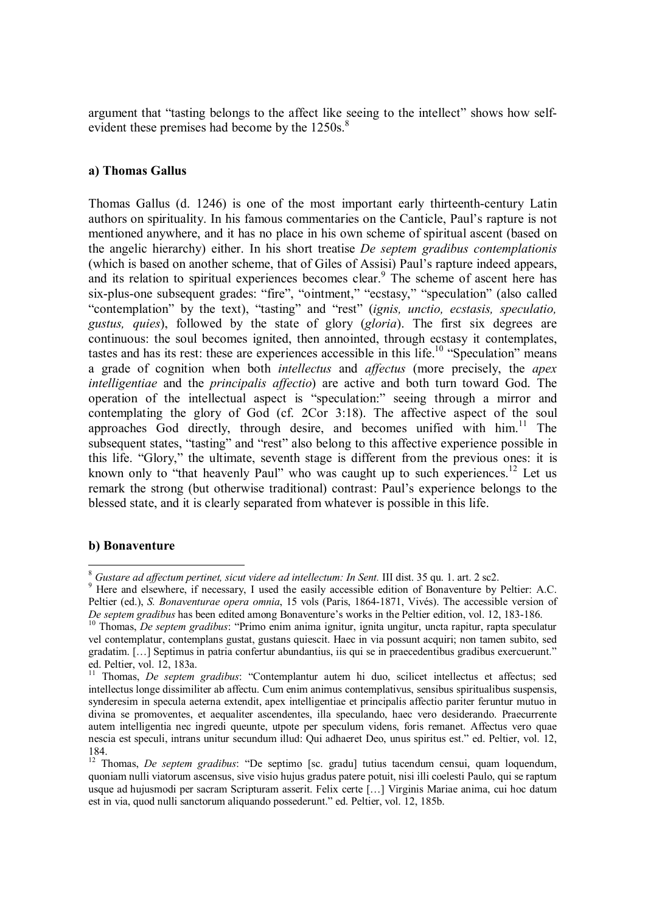argument that "tasting belongs to the affect like seeing to the intellect" shows how selfevident these premises had become by the  $1250s<sup>8</sup>$ 

## **a) Thomas Gallus**

Thomas Gallus (d. 1246) is one of the most important early thirteenth-century Latin authors on spirituality. In his famous commentaries on the Canticle, Paul's rapture is not mentioned anywhere, and it has no place in his own scheme of spiritual ascent (based on the angelic hierarchy) either. In his short treatise *De septem gradibus contemplationis* (which is based on another scheme, that of Giles of Assisi) Paul's rapture indeed appears, and its relation to spiritual experiences becomes clear.<sup>9</sup> The scheme of ascent here has six-plus-one subsequent grades: "fire", "ointment," "ecstasy," "speculation" (also called "contemplation" by the text), "tasting" and "rest" (*ignis, unctio, ecstasis, speculatio, gustus, quies*), followed by the state of glory (*gloria*). The first six degrees are continuous: the soul becomes ignited, then annointed, through ecstasy it contemplates, tastes and has its rest: these are experiences accessible in this life.<sup>10</sup> "Speculation" means a grade of cognition when both *intellectus* and *affectus* (more precisely, the *apex intelligentiae* and the *principalis affectio*) are active and both turn toward God. The operation of the intellectual aspect is "speculation:" seeing through a mirror and contemplating the glory of God (cf. 2Cor 3:18). The affective aspect of the soul approaches God directly, through desire, and becomes unified with  $\lim_{n \to \infty}$  The subsequent states, "tasting" and "rest" also belong to this affective experience possible in this life. "Glory," the ultimate, seventh stage is different from the previous ones: it is known only to "that heavenly Paul" who was caught up to such experiences.<sup>12</sup> Let us remark the strong (but otherwise traditional) contrast: Paul's experience belongs to the blessed state, and it is clearly separated from whatever is possible in this life.

### **b) Bonaventure**

<sup>8</sup> *Gustare ad affectum pertinet, sicut videre ad intellectum: In Sent.* III dist. 35 qu. 1. art. 2 sc2.

<sup>&</sup>lt;sup>9</sup> Here and elsewhere, if necessary, I used the easily accessible edition of Bonaventure by Peltier: A.C. Peltier (ed.), *S. Bonaventurae opera omnia*, 15 vols (Paris, 1864-1871, Vivés). The accessible version of *De septem gradibus* has been edited among Bonaventure's works in the Peltier edition, vol. 12, 183-186.

<sup>10</sup> Thomas, *De septem gradibus*: "Primo enim anima ignitur, ignita ungitur, uncta rapitur, rapta speculatur vel contemplatur, contemplans gustat, gustans quiescit. Haec in via possunt acquiri; non tamen subito, sed gradatim. […] Septimus in patria confertur abundantius, iis qui se in praecedentibus gradibus exercuerunt." ed. Peltier, vol. 12, 183a.

<sup>11</sup> Thomas, *De septem gradibus*: "Contemplantur autem hi duo, scilicet intellectus et affectus; sed intellectus longe dissimiliter ab affectu. Cum enim animus contemplativus, sensibus spiritualibus suspensis, synderesim in specula aeterna extendit, apex intelligentiae et principalis affectio pariter feruntur mutuo in divina se promoventes, et aequaliter ascendentes, illa speculando, haec vero desiderando. Praecurrente autem intelligentia nec ingredi queunte, utpote per speculum videns, foris remanet. Affectus vero quae nescia est speculi, intrans unitur secundum illud: Qui adhaeret Deo, unus spiritus est." ed. Peltier, vol. 12, 184.

<sup>12</sup> Thomas, *De septem gradibus*: "De septimo [sc. gradu] tutius tacendum censui, quam loquendum, quoniam nulli viatorum ascensus, sive visio hujus gradus patere potuit, nisi illi coelesti Paulo, qui se raptum usque ad hujusmodi per sacram Scripturam asserit. Felix certe […] Virginis Mariae anima, cui hoc datum est in via, quod nulli sanctorum aliquando possederunt." ed. Peltier, vol. 12, 185b.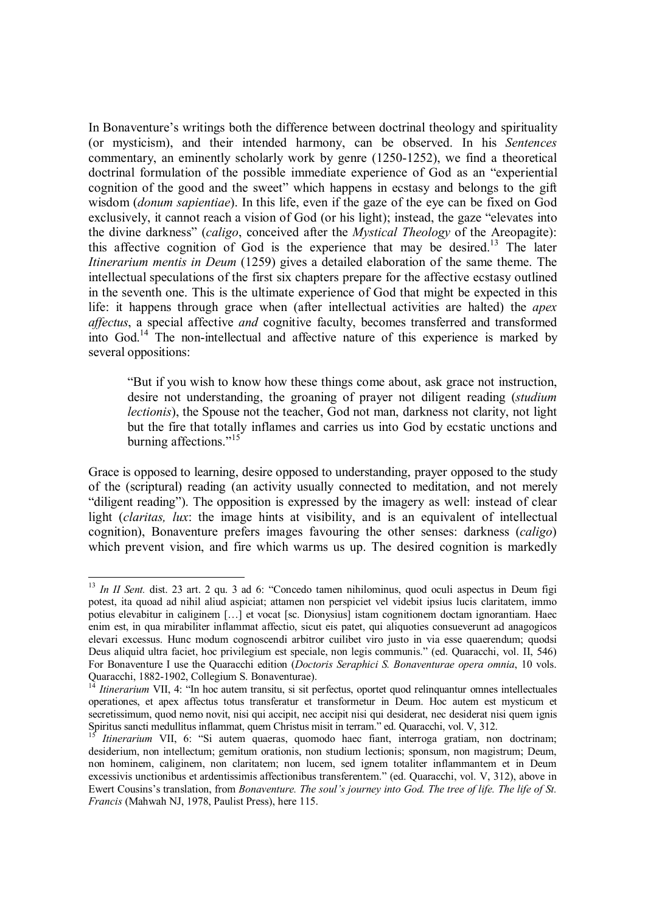In Bonaventure's writings both the difference between doctrinal theology and spirituality (or mysticism), and their intended harmony, can be observed. In his *Sentences* commentary, an eminently scholarly work by genre (1250-1252), we find a theoretical doctrinal formulation of the possible immediate experience of God as an "experiential cognition of the good and the sweet" which happens in ecstasy and belongs to the gift wisdom (*donum sapientiae*). In this life, even if the gaze of the eye can be fixed on God exclusively, it cannot reach a vision of God (or his light); instead, the gaze "elevates into the divine darkness" (*caligo*, conceived after the *Mystical Theology* of the Areopagite): this affective cognition of God is the experience that may be desired.<sup>13</sup> The later *Itinerarium mentis in Deum* (1259) gives a detailed elaboration of the same theme. The intellectual speculations of the first six chapters prepare for the affective ecstasy outlined in the seventh one. This is the ultimate experience of God that might be expected in this life: it happens through grace when (after intellectual activities are halted) the *apex affectus*, a special affective *and* cognitive faculty, becomes transferred and transformed into God.<sup>14</sup> The non-intellectual and affective nature of this experience is marked by several oppositions:

"But if you wish to know how these things come about, ask grace not instruction, desire not understanding, the groaning of prayer not diligent reading (*studium lectionis*), the Spouse not the teacher, God not man, darkness not clarity, not light but the fire that totally inflames and carries us into God by ecstatic unctions and burning affections."<sup>15</sup>

Grace is opposed to learning, desire opposed to understanding, prayer opposed to the study of the (scriptural) reading (an activity usually connected to meditation, and not merely "diligent reading"). The opposition is expressed by the imagery as well: instead of clear light (*claritas, lux*: the image hints at visibility, and is an equivalent of intellectual cognition), Bonaventure prefers images favouring the other senses: darkness (*caligo*) which prevent vision, and fire which warms us up. The desired cognition is markedly

 <sup>13</sup> *In II Sent.* dist. 23 art. 2 qu. 3 ad 6: "Concedo tamen nihilominus, quod oculi aspectus in Deum figi potest, ita quoad ad nihil aliud aspiciat; attamen non perspiciet vel videbit ipsius lucis claritatem, immo potius elevabitur in caliginem […] et vocat [sc. Dionysius] istam cognitionem doctam ignorantiam. Haec enim est, in qua mirabiliter inflammat affectio, sicut eis patet, qui aliquoties consueverunt ad anagogicos elevari excessus. Hunc modum cognoscendi arbitror cuilibet viro justo in via esse quaerendum; quodsi Deus aliquid ultra faciet, hoc privilegium est speciale, non legis communis." (ed. Quaracchi, vol. II, 546) For Bonaventure I use the Quaracchi edition (*Doctoris Seraphici S. Bonaventurae opera omnia*, 10 vols. Quaracchi, 1882-1902, Collegium S. Bonaventurae).

*Itinerarium* VII, 4: "In hoc autem transitu, si sit perfectus, oportet quod relinquantur omnes intellectuales operationes, et apex affectus totus transferatur et transformetur in Deum. Hoc autem est mysticum et secretissimum, quod nemo novit, nisi qui accipit, nec accipit nisi qui desiderat, nec desiderat nisi quem ignis Spiritus sancti medullitus inflammat, quem Christus misit in terram." ed. Quaracchi, vol. V, 312.

*Itinerarium* VII, 6: "Si autem quaeras, quomodo haec fiant, interroga gratiam, non doctrinam; desiderium, non intellectum; gemitum orationis, non studium lectionis; sponsum, non magistrum; Deum, non hominem, caliginem, non claritatem; non lucem, sed ignem totaliter inflammantem et in Deum excessivis unctionibus et ardentissimis affectionibus transferentem." (ed. Quaracchi, vol. V, 312), above in Ewert Cousins's translation, from *Bonaventure. The soul's journey into God. The tree of life. The life of St. Francis* (Mahwah NJ, 1978, Paulist Press), here 115.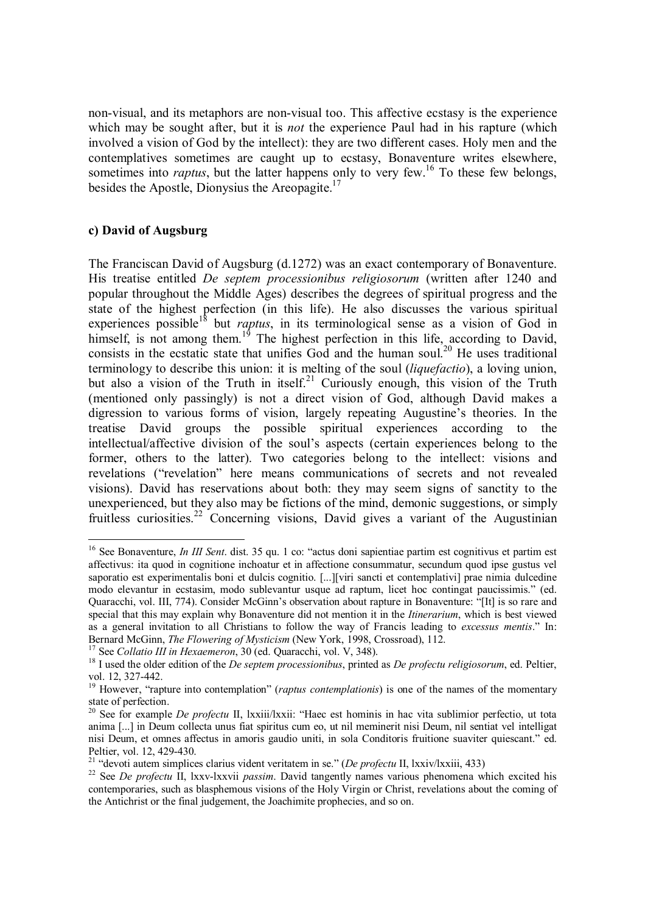non-visual, and its metaphors are non-visual too. This affective ecstasy is the experience which may be sought after, but it is *not* the experience Paul had in his rapture (which involved a vision of God by the intellect): they are two different cases. Holy men and the contemplatives sometimes are caught up to ecstasy, Bonaventure writes elsewhere, sometimes into *raptus*, but the latter happens only to very few.<sup>16</sup> To these few belongs, besides the Apostle, Dionysius the Areopagite.<sup>17</sup>

# **c) David of Augsburg**

 $\overline{a}$ 

The Franciscan David of Augsburg (d.1272) was an exact contemporary of Bonaventure. His treatise entitled *De septem processionibus religiosorum* (written after 1240 and popular throughout the Middle Ages) describes the degrees of spiritual progress and the state of the highest perfection (in this life). He also discusses the various spiritual experiences possible<sup>18</sup> but *raptus*, in its terminological sense as a vision of God in himself, is not among them.<sup>19</sup> The highest perfection in this life, according to David, consists in the ecstatic state that unifies God and the human soul.<sup>20</sup> He uses traditional terminology to describe this union: it is melting of the soul (*liquefactio*), a loving union, but also a vision of the Truth in itself.<sup>21</sup> Curiously enough, this vision of the Truth (mentioned only passingly) is not a direct vision of God, although David makes a digression to various forms of vision, largely repeating Augustine's theories. In the treatise David groups the possible spiritual experiences according to the intellectual/affective division of the soul's aspects (certain experiences belong to the former, others to the latter). Two categories belong to the intellect: visions and revelations ("revelation" here means communications of secrets and not revealed visions). David has reservations about both: they may seem signs of sanctity to the unexperienced, but they also may be fictions of the mind, demonic suggestions, or simply fruitless curiosities.<sup>22</sup> Concerning visions, David gives a variant of the Augustinian

<sup>16</sup> See Bonaventure, *In III Sent*. dist. 35 qu. 1 co: "actus doni sapientiae partim est cognitivus et partim est affectivus: ita quod in cognitione inchoatur et in affectione consummatur, secundum quod ipse gustus vel saporatio est experimentalis boni et dulcis cognitio. [...][viri sancti et contemplativi] prae nimia dulcedine modo elevantur in ecstasim, modo sublevantur usque ad raptum, licet hoc contingat paucissimis." (ed. Quaracchi, vol. III, 774). Consider McGinn's observation about rapture in Bonaventure: "[It] is so rare and special that this may explain why Bonaventure did not mention it in the *Itinerarium*, which is best viewed as a general invitation to all Christians to follow the way of Francis leading to *excessus mentis*." In: Bernard McGinn, *The Flowering of Mysticism* (New York, 1998, Crossroad), 112.

<sup>17</sup> See *Collatio III in Hexaemeron*, 30 (ed. Quaracchi, vol. V, 348).

<sup>18</sup> I used the older edition of the *De septem processionibus*, printed as *De profectu religiosorum*, ed. Peltier, vol. 12, 327-442.

<sup>&</sup>lt;sup>19</sup> However, "rapture into contemplation" (*raptus contemplationis*) is one of the names of the momentary state of perfection.

<sup>20</sup> See for example *De profectu* II, lxxiii/lxxii: "Haec est hominis in hac vita sublimior perfectio, ut tota anima [...] in Deum collecta unus fiat spiritus cum eo, ut nil meminerit nisi Deum, nil sentiat vel intelligat nisi Deum, et omnes affectus in amoris gaudio uniti, in sola Conditoris fruitione suaviter quiescant." ed. Peltier, vol. 12, 429-430.

<sup>21</sup> "devoti autem simplices clarius vident veritatem in se." (*De profectu* II, lxxiv/lxxiii, 433)

<sup>22</sup> See *De profectu* II, lxxv-lxxvii *passim*. David tangently names various phenomena which excited his contemporaries, such as blasphemous visions of the Holy Virgin or Christ, revelations about the coming of the Antichrist or the final judgement, the Joachimite prophecies, and so on.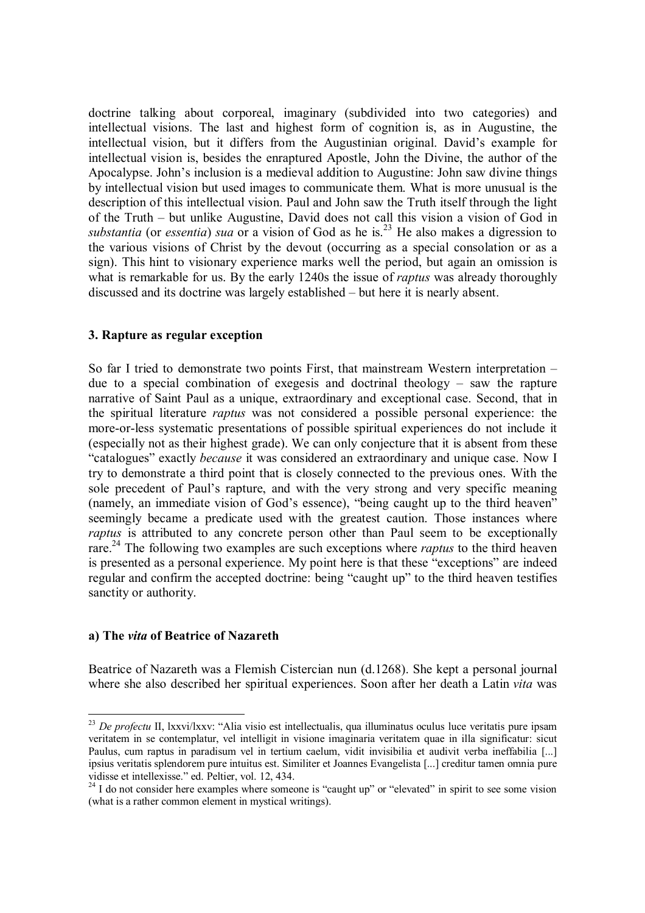doctrine talking about corporeal, imaginary (subdivided into two categories) and intellectual visions. The last and highest form of cognition is, as in Augustine, the intellectual vision, but it differs from the Augustinian original. David's example for intellectual vision is, besides the enraptured Apostle, John the Divine, the author of the Apocalypse. John's inclusion is a medieval addition to Augustine: John saw divine things by intellectual vision but used images to communicate them. What is more unusual is the description of this intellectual vision. Paul and John saw the Truth itself through the light of the Truth – but unlike Augustine, David does not call this vision a vision of God in *substantia* (or *essentia*) *sua* or a vision of God as he is.<sup>23</sup> He also makes a digression to the various visions of Christ by the devout (occurring as a special consolation or as a sign). This hint to visionary experience marks well the period, but again an omission is what is remarkable for us. By the early 1240s the issue of *raptus* was already thoroughly discussed and its doctrine was largely established – but here it is nearly absent.

# **3. Rapture as regular exception**

So far I tried to demonstrate two points First, that mainstream Western interpretation – due to a special combination of exegesis and doctrinal theology – saw the rapture narrative of Saint Paul as a unique, extraordinary and exceptional case. Second, that in the spiritual literature *raptus* was not considered a possible personal experience: the more-or-less systematic presentations of possible spiritual experiences do not include it (especially not as their highest grade). We can only conjecture that it is absent from these "catalogues" exactly *because* it was considered an extraordinary and unique case. Now I try to demonstrate a third point that is closely connected to the previous ones. With the sole precedent of Paul's rapture, and with the very strong and very specific meaning (namely, an immediate vision of God's essence), "being caught up to the third heaven" seemingly became a predicate used with the greatest caution. Those instances where *raptus* is attributed to any concrete person other than Paul seem to be exceptionally rare.<sup>24</sup> The following two examples are such exceptions where *raptus* to the third heaven is presented as a personal experience. My point here is that these "exceptions" are indeed regular and confirm the accepted doctrine: being "caught up" to the third heaven testifies sanctity or authority.

### **a) The** *vita* **of Beatrice of Nazareth**

 $\overline{a}$ 

Beatrice of Nazareth was a Flemish Cistercian nun (d.1268). She kept a personal journal where she also described her spiritual experiences. Soon after her death a Latin *vita* was

<sup>23</sup> *De profectu* II, lxxvi/lxxv: "Alia visio est intellectualis, qua illuminatus oculus luce veritatis pure ipsam veritatem in se contemplatur, vel intelligit in visione imaginaria veritatem quae in illa significatur: sicut Paulus, cum raptus in paradisum vel in tertium caelum, vidit invisibilia et audivit verba ineffabilia [...] ipsius veritatis splendorem pure intuitus est. Similiter et Joannes Evangelista [...] creditur tamen omnia pure vidisse et intellexisse." ed. Peltier, vol. 12, 434.

<sup>&</sup>lt;sup>24</sup> I do not consider here examples where someone is "caught up" or "elevated" in spirit to see some vision (what is a rather common element in mystical writings).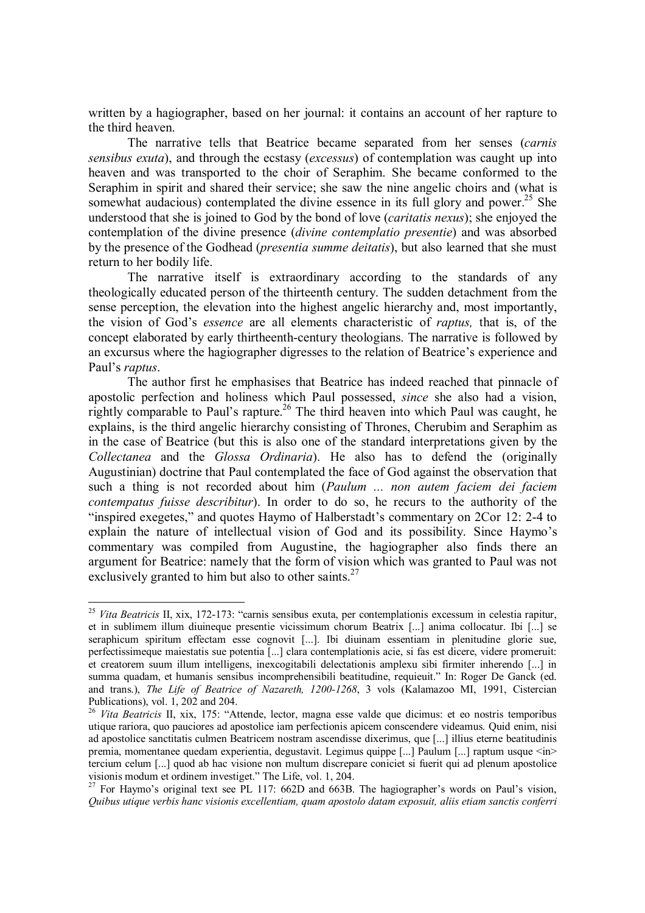written by a hagiographer, based on her journal: it contains an account of her rapture to the third heaven.

The narrative tells that Beatrice became separated from her senses (*carnis sensibus exuta*), and through the ecstasy (*excessus*) of contemplation was caught up into heaven and was transported to the choir of Seraphim. She became conformed to the Seraphim in spirit and shared their service; she saw the nine angelic choirs and (what is somewhat audacious) contemplated the divine essence in its full glory and power.<sup>25</sup> She understood that she is joined to God by the bond of love (*caritatis nexus*); she enjoyed the contemplation of the divine presence (*divine contemplatio presentie*) and was absorbed by the presence of the Godhead (*presentia summe deitatis*), but also learned that she must return to her bodily life.

The narrative itself is extraordinary according to the standards of any theologically educated person of the thirteenth century. The sudden detachment from the sense perception, the elevation into the highest angelic hierarchy and, most importantly, the vision of God's *essence* are all elements characteristic of *raptus,* that is, of the concept elaborated by early thirtheenth-century theologians. The narrative is followed by an excursus where the hagiographer digresses to the relation of Beatrice's experience and Paul's *raptus*.

The author first he emphasises that Beatrice has indeed reached that pinnacle of apostolic perfection and holiness which Paul possessed, *since* she also had a vision, rightly comparable to Paul's rapture.<sup>26</sup> The third heaven into which Paul was caught, he explains, is the third angelic hierarchy consisting of Thrones, Cherubim and Seraphim as in the case of Beatrice (but this is also one of the standard interpretations given by the *Collectanea* and the *Glossa Ordinaria*). He also has to defend the (originally Augustinian) doctrine that Paul contemplated the face of God against the observation that such a thing is not recorded about him (*Paulum ... non autem faciem dei faciem contempatus fuisse describitur*). In order to do so, he recurs to the authority of the "inspired exegetes," and quotes Haymo of Halberstadt's commentary on 2Cor 12: 2-4 to explain the nature of intellectual vision of God and its possibility. Since Haymo's commentary was compiled from Augustine, the hagiographer also finds there an argument for Beatrice: namely that the form of vision which was granted to Paul was not exclusively granted to him but also to other saints. $27$ 

<sup>25</sup> *Vita Beatricis* II, xix, 172-173: "carnis sensibus exuta, per contemplationis excessum in celestia rapitur, et in sublimem illum diuineque presentie vicissimum chorum Beatrix [...] anima collocatur. Ibi [...] se seraphicum spiritum effectam esse cognovit [...]. Ibi diuinam essentiam in plenitudine glorie sue, perfectissimeque maiestatis sue potentia [...] clara contemplationis acie, si fas est dicere, videre promeruit: et creatorem suum illum intelligens, inexcogitabili delectationis amplexu sibi firmiter inherendo [...] in summa quadam, et humanis sensibus incomprehensibili beatitudine, requieuit." In: Roger De Ganck (ed. and trans.), *The Life of Beatrice of Nazareth, 1200-1268*, 3 vols (Kalamazoo MI, 1991, Cistercian Publications), vol. 1, 202 and 204.

<sup>26</sup> *Vita Beatricis* II, xix, 175: "Attende, lector, magna esse valde que dicimus: et eo nostris temporibus utique rariora, quo pauciores ad apostolice iam perfectionis apicem conscendere videamus. Quid enim, nisi ad apostolice sanctitatis culmen Beatricem nostram ascendisse dixerimus, que [...] illius eterne beatitudinis premia, momentanee quedam experientia, degustavit. Legimus quippe [...] Paulum [...] raptum usque <in> tercium celum [...] quod ab hac visione non multum discrepare coniciet si fuerit qui ad plenum apostolice visionis modum et ordinem investiget." The Life, vol. 1, 204.

<sup>&</sup>lt;sup>27</sup> For Haymo's original text see PL 117:  $662D$  and  $663B$ . The hagiographer's words on Paul's vision, *Quibus utique verbis hanc visionis excellentiam, quam apostolo datam exposuit, aliis etiam sanctis conferri*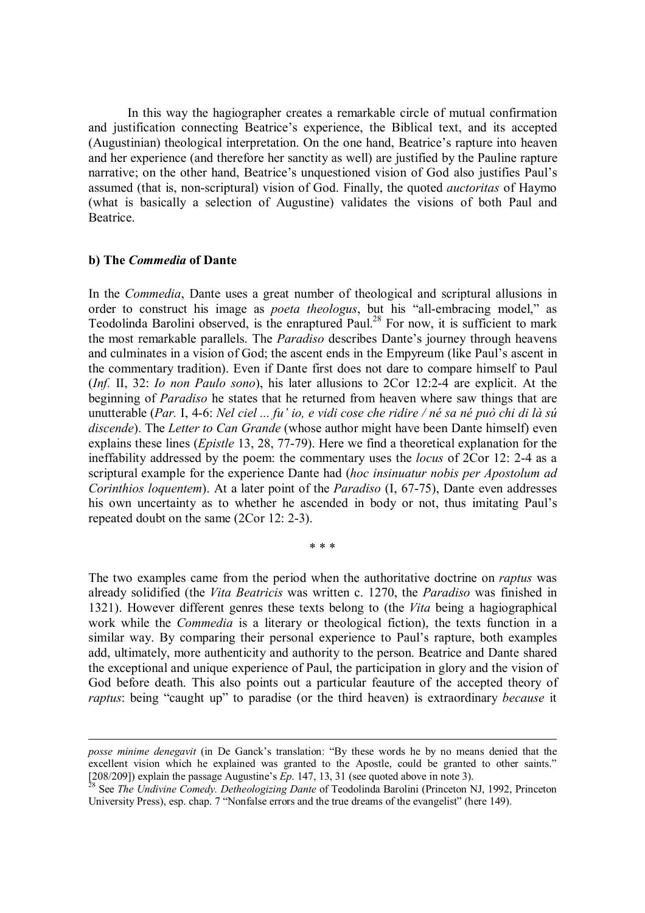In this way the hagiographer creates a remarkable circle of mutual confirmation and justification connecting Beatrice's experience, the Biblical text, and its accepted (Augustinian) theological interpretation. On the one hand, Beatrice's rapture into heaven and her experience (and therefore her sanctity as well) are justified by the Pauline rapture narrative; on the other hand, Beatrice's unquestioned vision of God also justifies Paul's assumed (that is, non-scriptural) vision of God. Finally, the quoted *auctoritas* of Haymo (what is basically a selection of Augustine) validates the visions of both Paul and Beatrice.

### **b) The** *Commedia* **of Dante**

 $\overline{a}$ 

In the *Commedia*, Dante uses a great number of theological and scriptural allusions in order to construct his image as *poeta theologus*, but his "all-embracing model," as Teodolinda Barolini observed, is the enraptured Paul.<sup>28</sup> For now, it is sufficient to mark the most remarkable parallels. The *Paradiso* describes Dante's journey through heavens and culminates in a vision of God; the ascent ends in the Empyreum (like Paul's ascent in the commentary tradition). Even if Dante first does not dare to compare himself to Paul (*Inf.* II, 32: *Io non Paulo sono*), his later allusions to 2Cor 12:2-4 are explicit. At the beginning of *Paradiso* he states that he returned from heaven where saw things that are unutterable (*Par.* I, 4-6: *Nel ciel ... fu' io, e vidi cose che ridire / né sa né può chi di là sú discende*). The *Letter to Can Grande* (whose author might have been Dante himself) even explains these lines (*Epistle* 13, 28, 77-79). Here we find a theoretical explanation for the ineffability addressed by the poem: the commentary uses the *locus* of 2Cor 12: 2-4 as a scriptural example for the experience Dante had (*hoc insinuatur nobis per Apostolum ad Corinthios loquentem*). At a later point of the *Paradiso* (I, 67-75), Dante even addresses his own uncertainty as to whether he ascended in body or not, thus imitating Paul's repeated doubt on the same (2Cor 12: 2-3).

\* \* \*

The two examples came from the period when the authoritative doctrine on *raptus* was already solidified (the *Vita Beatricis* was written c. 1270, the *Paradiso* was finished in 1321). However different genres these texts belong to (the *Vita* being a hagiographical work while the *Commedia* is a literary or theological fiction), the texts function in a similar way. By comparing their personal experience to Paul's rapture, both examples add, ultimately, more authenticity and authority to the person. Beatrice and Dante shared the exceptional and unique experience of Paul, the participation in glory and the vision of God before death. This also points out a particular feauture of the accepted theory of *raptus*: being "caught up" to paradise (or the third heaven) is extraordinary *because* it

*posse minime denegavit* (in De Ganck's translation: "By these words he by no means denied that the excellent vision which he explained was granted to the Apostle, could be granted to other saints." [208/209]) explain the passage Augustine's *Ep*. 147, 13, 31 (see quoted above in note 3).

<sup>28</sup> See *The Undivine Comedy. Detheologizing Dante* of Teodolinda Barolini (Princeton NJ, 1992, Princeton University Press), esp. chap. 7 "Nonfalse errors and the true dreams of the evangelist" (here 149).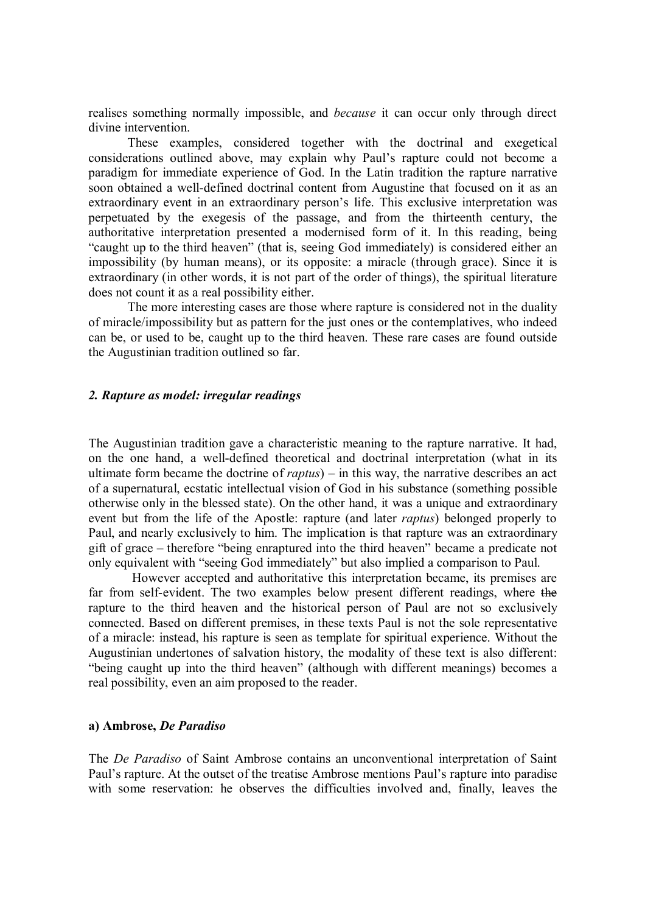realises something normally impossible, and *because* it can occur only through direct divine intervention.

These examples, considered together with the doctrinal and exegetical considerations outlined above, may explain why Paul's rapture could not become a paradigm for immediate experience of God. In the Latin tradition the rapture narrative soon obtained a well-defined doctrinal content from Augustine that focused on it as an extraordinary event in an extraordinary person's life. This exclusive interpretation was perpetuated by the exegesis of the passage, and from the thirteenth century, the authoritative interpretation presented a modernised form of it. In this reading, being "caught up to the third heaven" (that is, seeing God immediately) is considered either an impossibility (by human means), or its opposite: a miracle (through grace). Since it is extraordinary (in other words, it is not part of the order of things), the spiritual literature does not count it as a real possibility either.

The more interesting cases are those where rapture is considered not in the duality of miracle/impossibility but as pattern for the just ones or the contemplatives, who indeed can be, or used to be, caught up to the third heaven. These rare cases are found outside the Augustinian tradition outlined so far.

## *2. Rapture as model: irregular readings*

The Augustinian tradition gave a characteristic meaning to the rapture narrative. It had, on the one hand, a well-defined theoretical and doctrinal interpretation (what in its ultimate form became the doctrine of *raptus*) – in this way, the narrative describes an act of a supernatural, ecstatic intellectual vision of God in his substance (something possible otherwise only in the blessed state). On the other hand, it was a unique and extraordinary event but from the life of the Apostle: rapture (and later *raptus*) belonged properly to Paul, and nearly exclusively to him. The implication is that rapture was an extraordinary gift of grace *–* therefore "being enraptured into the third heaven" became a predicate not only equivalent with "seeing God immediately" but also implied a comparison to Paul.

 However accepted and authoritative this interpretation became, its premises are far from self-evident. The two examples below present different readings, where the rapture to the third heaven and the historical person of Paul are not so exclusively connected. Based on different premises, in these texts Paul is not the sole representative of a miracle: instead, his rapture is seen as template for spiritual experience. Without the Augustinian undertones of salvation history, the modality of these text is also different: "being caught up into the third heaven" (although with different meanings) becomes a real possibility, even an aim proposed to the reader.

### **a) Ambrose,** *De Paradiso*

The *De Paradiso* of Saint Ambrose contains an unconventional interpretation of Saint Paul's rapture. At the outset of the treatise Ambrose mentions Paul's rapture into paradise with some reservation: he observes the difficulties involved and, finally, leaves the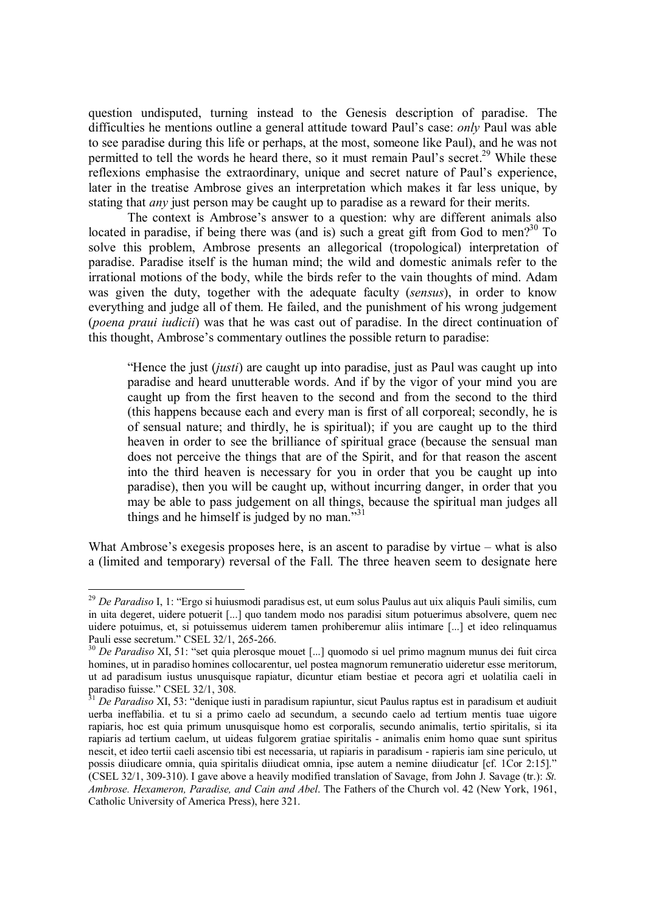question undisputed, turning instead to the Genesis description of paradise. The difficulties he mentions outline a general attitude toward Paul's case: *only* Paul was able to see paradise during this life or perhaps, at the most, someone like Paul), and he was not permitted to tell the words he heard there, so it must remain Paul's secret.<sup>29</sup> While these reflexions emphasise the extraordinary, unique and secret nature of Paul's experience, later in the treatise Ambrose gives an interpretation which makes it far less unique, by stating that *any* just person may be caught up to paradise as a reward for their merits.

The context is Ambrose's answer to a question: why are different animals also located in paradise, if being there was (and is) such a great gift from God to men?<sup>30</sup> To solve this problem, Ambrose presents an allegorical (tropological) interpretation of paradise. Paradise itself is the human mind; the wild and domestic animals refer to the irrational motions of the body, while the birds refer to the vain thoughts of mind. Adam was given the duty, together with the adequate faculty (*sensus*), in order to know everything and judge all of them. He failed, and the punishment of his wrong judgement (*poena praui iudicii*) was that he was cast out of paradise. In the direct continuation of this thought, Ambrose's commentary outlines the possible return to paradise:

"Hence the just (*justi*) are caught up into paradise, just as Paul was caught up into paradise and heard unutterable words. And if by the vigor of your mind you are caught up from the first heaven to the second and from the second to the third (this happens because each and every man is first of all corporeal; secondly, he is of sensual nature; and thirdly, he is spiritual); if you are caught up to the third heaven in order to see the brilliance of spiritual grace (because the sensual man does not perceive the things that are of the Spirit, and for that reason the ascent into the third heaven is necessary for you in order that you be caught up into paradise), then you will be caught up, without incurring danger, in order that you may be able to pass judgement on all things, because the spiritual man judges all things and he himself is judged by no man." $31$ 

What Ambrose's exegesis proposes here, is an ascent to paradise by virtue – what is also a (limited and temporary) reversal of the Fall. The three heaven seem to designate here

<sup>29</sup> *De Paradiso* I, 1: "Ergo si huiusmodi paradisus est, ut eum solus Paulus aut uix aliquis Pauli similis, cum in uita degeret, uidere potuerit [...] quo tandem modo nos paradisi situm potuerimus absolvere, quem nec uidere potuimus, et, si potuissemus uiderem tamen prohiberemur aliis intimare [...] et ideo relinquamus Pauli esse secretum." CSEL 32/1, 265-266.

<sup>30</sup> *De Paradiso* XI, 51: "set quia plerosque mouet [...] quomodo si uel primo magnum munus dei fuit circa homines, ut in paradiso homines collocarentur, uel postea magnorum remuneratio uideretur esse meritorum, ut ad paradisum iustus unusquisque rapiatur, dicuntur etiam bestiae et pecora agri et uolatilia caeli in paradiso fuisse." CSEL 32/1, 308.

<sup>31</sup> *De Paradiso* XI, 53: "denique iusti in paradisum rapiuntur, sicut Paulus raptus est in paradisum et audiuit uerba ineffabilia. et tu si a primo caelo ad secundum, a secundo caelo ad tertium mentis tuae uigore rapiaris, hoc est quia primum unusquisque homo est corporalis, secundo animalis, tertio spiritalis, si ita rapiaris ad tertium caelum, ut uideas fulgorem gratiae spiritalis - animalis enim homo quae sunt spiritus nescit, et ideo tertii caeli ascensio tibi est necessaria, ut rapiaris in paradisum - rapieris iam sine periculo, ut possis diiudicare omnia, quia spiritalis diiudicat omnia, ipse autem a nemine diiudicatur [cf. 1Cor 2:15]." (CSEL 32/1, 309-310). I gave above a heavily modified translation of Savage, from John J. Savage (tr.): *St. Ambrose. Hexameron, Paradise, and Cain and Abel*. The Fathers of the Church vol. 42 (New York, 1961, Catholic University of America Press), here 321.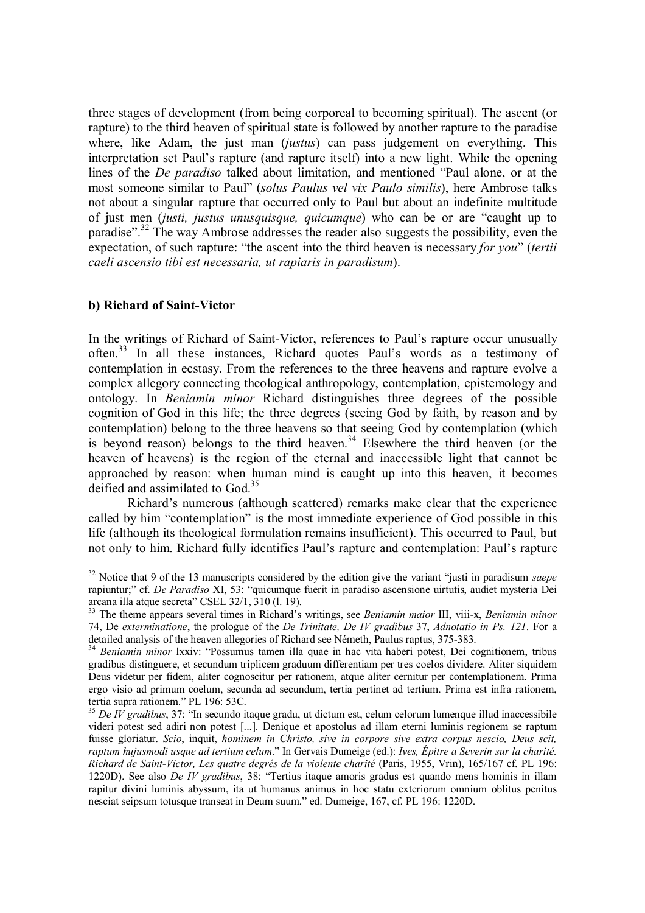three stages of development (from being corporeal to becoming spiritual). The ascent (or rapture) to the third heaven of spiritual state is followed by another rapture to the paradise where, like Adam, the just man (*justus*) can pass judgement on everything. This interpretation set Paul's rapture (and rapture itself) into a new light. While the opening lines of the *De paradiso* talked about limitation, and mentioned "Paul alone, or at the most someone similar to Paul" (*solus Paulus vel vix Paulo similis*), here Ambrose talks not about a singular rapture that occurred only to Paul but about an indefinite multitude of just men (*justi, justus unusquisque, quicumque*) who can be or are "caught up to paradise".<sup>32</sup> The way Ambrose addresses the reader also suggests the possibility, even the expectation, of such rapture: "the ascent into the third heaven is necessary *for you*" (*tertii caeli ascensio tibi est necessaria, ut rapiaris in paradisum*).

# **b) Richard of Saint-Victor**

In the writings of Richard of Saint-Victor, references to Paul's rapture occur unusually often.<sup>33</sup> In all these instances, Richard quotes Paul's words as a testimony of contemplation in ecstasy. From the references to the three heavens and rapture evolve a complex allegory connecting theological anthropology, contemplation, epistemology and ontology. In *Beniamin minor* Richard distinguishes three degrees of the possible cognition of God in this life; the three degrees (seeing God by faith, by reason and by contemplation) belong to the three heavens so that seeing God by contemplation (which is beyond reason) belongs to the third heaven.<sup>34</sup> Elsewhere the third heaven (or the heaven of heavens) is the region of the eternal and inaccessible light that cannot be approached by reason: when human mind is caught up into this heaven, it becomes deified and assimilated to God.<sup>35</sup>

Richard's numerous (although scattered) remarks make clear that the experience called by him "contemplation" is the most immediate experience of God possible in this life (although its theological formulation remains insufficient). This occurred to Paul, but not only to him. Richard fully identifies Paul's rapture and contemplation: Paul's rapture

 $\overline{a}$ <sup>32</sup> Notice that 9 of the 13 manuscripts considered by the edition give the variant "justi in paradisum *saepe* rapiuntur;" cf. *De Paradiso* XI, 53: "quicumque fuerit in paradiso ascensione uirtutis, audiet mysteria Dei arcana illa atque secreta" CSEL 32/1, 310 (l. 19).

<sup>33</sup> The theme appears several times in Richard's writings, see *Beniamin maior* III, viii-x, *Beniamin minor* 74, De *exterminatione*, the prologue of the *De Trinitate, De IV gradibus* 37, *Adnotatio in Ps. 121*. For a detailed analysis of the heaven allegories of Richard see Németh, Paulus raptus, 375-383.

<sup>34</sup> *Beniamin minor* lxxiv: "Possumus tamen illa quae in hac vita haberi potest, Dei cognitionem, tribus gradibus distinguere, et secundum triplicem graduum differentiam per tres coelos dividere. Aliter siquidem Deus videtur per fidem, aliter cognoscitur per rationem, atque aliter cernitur per contemplationem. Prima ergo visio ad primum coelum, secunda ad secundum, tertia pertinet ad tertium. Prima est infra rationem, tertia supra rationem." PL 196: 53C.

<sup>35</sup> *De IV gradibus*, 37: "In secundo itaque gradu, ut dictum est, celum celorum lumenque illud inaccessibile videri potest sed adiri non potest [...]. Denique et apostolus ad illam eterni luminis regionem se raptum fuisse gloriatur. *Scio*, inquit, *hominem in Christo, sive in corpore sive extra corpus nescio, Deus scit, raptum hujusmodi usque ad tertium celum*." In Gervais Dumeige (ed.): *Ives, Épitre a Severin sur la charité. Richard de Saint-Victor, Les quatre degrés de la violente charité* (Paris, 1955, Vrin), 165/167 cf. PL 196: 1220D). See also *De IV gradibus*, 38: "Tertius itaque amoris gradus est quando mens hominis in illam rapitur divini luminis abyssum, ita ut humanus animus in hoc statu exteriorum omnium oblitus penitus nesciat seipsum totusque transeat in Deum suum." ed. Dumeige, 167, cf. PL 196: 1220D.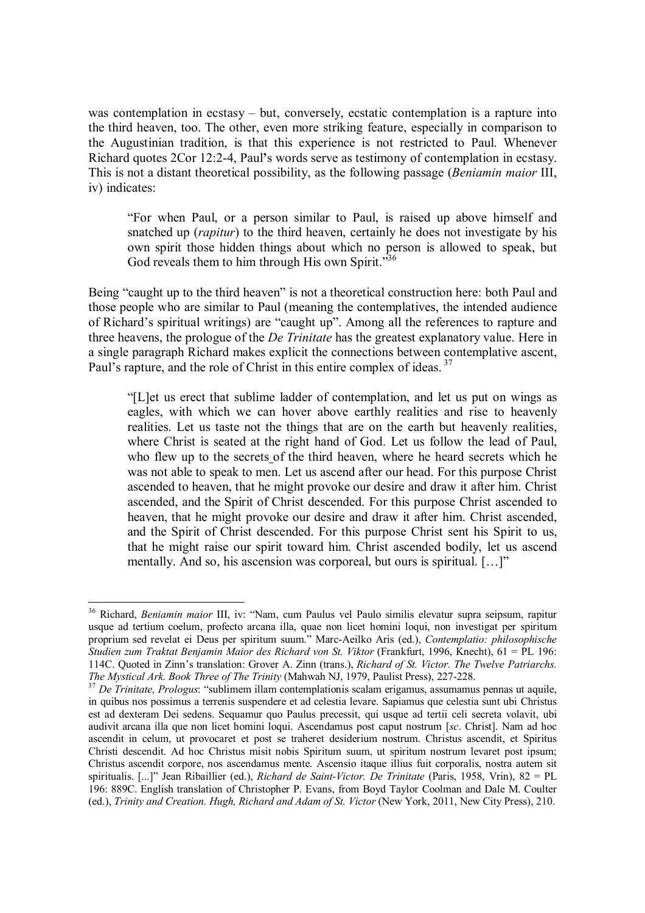was contemplation in ecstasy – but, conversely, ecstatic contemplation is a rapture into the third heaven, too. The other, even more striking feature, especially in comparison to the Augustinian tradition, is that this experience is not restricted to Paul. Whenever Richard quotes 2Cor 12:2-4, Paul**'**s words serve as testimony of contemplation in ecstasy. This is not a distant theoretical possibility, as the following passage (*Beniamin maior* III, iv) indicates:

"For when Paul, or a person similar to Paul, is raised up above himself and snatched up (*rapitur*) to the third heaven, certainly he does not investigate by his own spirit those hidden things about which no person is allowed to speak, but God reveals them to him through His own Spirit."<sup>36</sup>

Being "caught up to the third heaven" is not a theoretical construction here: both Paul and those people who are similar to Paul (meaning the contemplatives, the intended audience of Richard's spiritual writings) are "caught up". Among all the references to rapture and three heavens, the prologue of the *De Trinitate* has the greatest explanatory value. Here in a single paragraph Richard makes explicit the connections between contemplative ascent, Paul's rapture, and the role of Christ in this entire complex of ideas.<sup>37</sup>

"[L]et us erect that sublime ladder of contemplation, and let us put on wings as eagles, with which we can hover above earthly realities and rise to heavenly realities. Let us taste not the things that are on the earth but heavenly realities, where Christ is seated at the right hand of God. Let us follow the lead of Paul, who flew up to the secrets of the third heaven, where he heard secrets which he was not able to speak to men. Let us ascend after our head. For this purpose Christ ascended to heaven, that he might provoke our desire and draw it after him. Christ ascended, and the Spirit of Christ descended. For this purpose Christ ascended to heaven, that he might provoke our desire and draw it after him. Christ ascended, and the Spirit of Christ descended. For this purpose Christ sent his Spirit to us, that he might raise our spirit toward him. Christ ascended bodily, let us ascend mentally. And so, his ascension was corporeal, but ours is spiritual. […]"

 $\overline{a}$ <sup>36</sup> Richard, *Beniamin maior* III, iv: "Nam, cum Paulus vel Paulo similis elevatur supra seipsum, rapitur usque ad tertium coelum, profecto arcana illa, quae non licet homini loqui, non investigat per spiritum proprium sed revelat ei Deus per spiritum suum." Marc-Aeilko Aris (ed.), *Contemplatio: philosophische Studien zum Traktat Benjamin Maior des Richard von St. Viktor* (Frankfurt, 1996, Knecht), 61 = PL 196: 114C. Quoted in Zinn's translation: Grover A. Zinn (trans.), *Richard of St. Victor. The Twelve Patriarchs. The Mystical Ark. Book Three of The Trinity* (Mahwah NJ, 1979, Paulist Press), 227-228.

<sup>37</sup> *De Trinitate, Prologus*: "sublimem illam contemplationis scalam erigamus, assumamus pennas ut aquile, in quibus nos possimus a terrenis suspendere et ad celestia levare. Sapiamus que celestia sunt ubi Christus est ad dexteram Dei sedens. Sequamur quo Paulus precessit, qui usque ad tertii celi secreta volavit, ubi audivit arcana illa que non licet homini loqui. Ascendamus post caput nostrum [*sc*. Christ]. Nam ad hoc ascendit in celum, ut provocaret et post se traheret desiderium nostrum. Christus ascendit, et Spiritus Christi descendit. Ad hoc Christus misit nobis Spiritum suum, ut spiritum nostrum levaret post ipsum; Christus ascendit corpore, nos ascendamus mente. Ascensio itaque illius fuit corporalis, nostra autem sit spiritualis. [...]" Jean Ribaillier (ed.), *Richard de Saint-Victor. De Trinitate* (Paris, 1958, Vrin), 82 = PL 196: 889C. English translation of Christopher P. Evans, from Boyd Taylor Coolman and Dale M. Coulter (ed.), *Trinity and Creation. Hugh, Richard and Adam of St. Victor* (New York, 2011, New City Press), 210.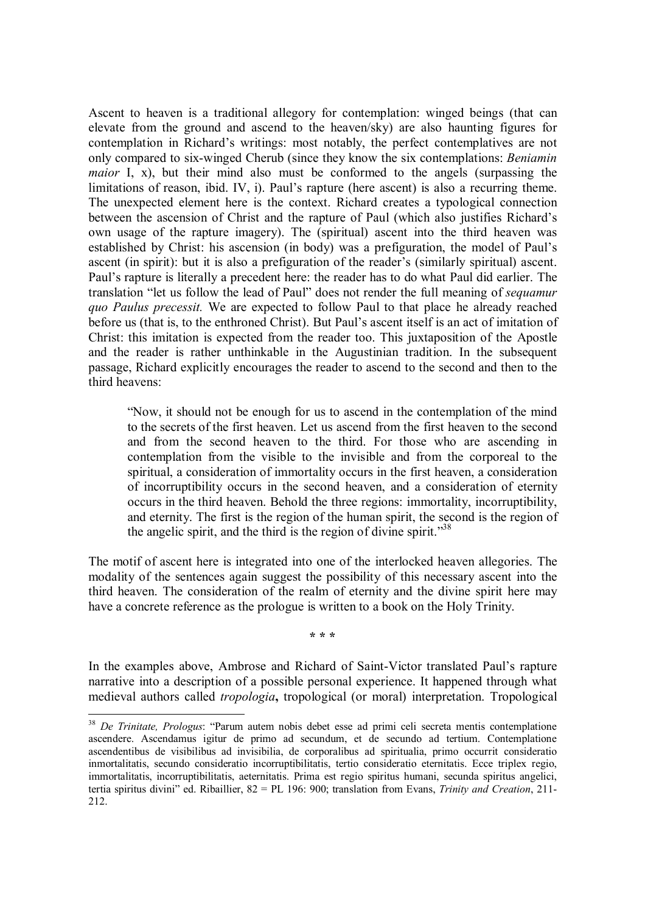Ascent to heaven is a traditional allegory for contemplation: winged beings (that can elevate from the ground and ascend to the heaven/sky) are also haunting figures for contemplation in Richard's writings: most notably, the perfect contemplatives are not only compared to six-winged Cherub (since they know the six contemplations: *Beniamin maior* I, x), but their mind also must be conformed to the angels (surpassing the limitations of reason, ibid. IV, i). Paul's rapture (here ascent) is also a recurring theme. The unexpected element here is the context. Richard creates a typological connection between the ascension of Christ and the rapture of Paul (which also justifies Richard's own usage of the rapture imagery). The (spiritual) ascent into the third heaven was established by Christ: his ascension (in body) was a prefiguration, the model of Paul's ascent (in spirit): but it is also a prefiguration of the reader's (similarly spiritual) ascent. Paul's rapture is literally a precedent here: the reader has to do what Paul did earlier. The translation "let us follow the lead of Paul" does not render the full meaning of *sequamur quo Paulus precessit.* We are expected to follow Paul to that place he already reached before us (that is, to the enthroned Christ). But Paul's ascent itself is an act of imitation of Christ: this imitation is expected from the reader too. This juxtaposition of the Apostle and the reader is rather unthinkable in the Augustinian tradition. In the subsequent passage, Richard explicitly encourages the reader to ascend to the second and then to the third heavens:

"Now, it should not be enough for us to ascend in the contemplation of the mind to the secrets of the first heaven. Let us ascend from the first heaven to the second and from the second heaven to the third. For those who are ascending in contemplation from the visible to the invisible and from the corporeal to the spiritual, a consideration of immortality occurs in the first heaven, a consideration of incorruptibility occurs in the second heaven, and a consideration of eternity occurs in the third heaven. Behold the three regions: immortality, incorruptibility, and eternity. The first is the region of the human spirit, the second is the region of the angelic spirit, and the third is the region of divine spirit."<sup>38</sup>

The motif of ascent here is integrated into one of the interlocked heaven allegories. The modality of the sentences again suggest the possibility of this necessary ascent into the third heaven. The consideration of the realm of eternity and the divine spirit here may have a concrete reference as the prologue is written to a book on the Holy Trinity.

**\* \* \***

In the examples above, Ambrose and Richard of Saint-Victor translated Paul's rapture narrative into a description of a possible personal experience. It happened through what medieval authors called *tropologia***,** tropological (or moral) interpretation. Tropological

<sup>38</sup> *De Trinitate, Prologus*: "Parum autem nobis debet esse ad primi celi secreta mentis contemplatione ascendere. Ascendamus igitur de primo ad secundum, et de secundo ad tertium. Contemplatione ascendentibus de visibilibus ad invisibilia, de corporalibus ad spiritualia, primo occurrit consideratio inmortalitatis, secundo consideratio incorruptibilitatis, tertio consideratio eternitatis. Ecce triplex regio, immortalitatis, incorruptibilitatis, aeternitatis. Prima est regio spiritus humani, secunda spiritus angelici, tertia spiritus divini" ed. Ribaillier, 82 = PL 196: 900; translation from Evans, *Trinity and Creation*, 211- 212.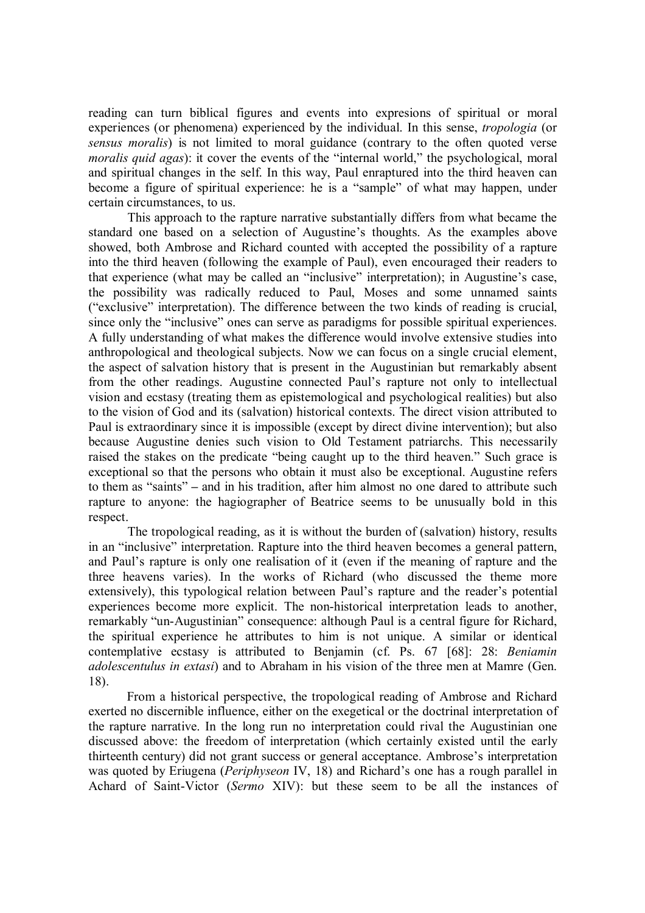reading can turn biblical figures and events into expresions of spiritual or moral experiences (or phenomena) experienced by the individual. In this sense, *tropologia* (or *sensus moralis*) is not limited to moral guidance (contrary to the often quoted verse *moralis quid agas*): it cover the events of the "internal world," the psychological, moral and spiritual changes in the self. In this way, Paul enraptured into the third heaven can become a figure of spiritual experience: he is a "sample" of what may happen, under certain circumstances, to us.

This approach to the rapture narrative substantially differs from what became the standard one based on a selection of Augustine's thoughts. As the examples above showed, both Ambrose and Richard counted with accepted the possibility of a rapture into the third heaven (following the example of Paul), even encouraged their readers to that experience (what may be called an "inclusive" interpretation); in Augustine's case, the possibility was radically reduced to Paul, Moses and some unnamed saints ("exclusive" interpretation). The difference between the two kinds of reading is crucial, since only the "inclusive" ones can serve as paradigms for possible spiritual experiences. A fully understanding of what makes the difference would involve extensive studies into anthropological and theological subjects. Now we can focus on a single crucial element, the aspect of salvation history that is present in the Augustinian but remarkably absent from the other readings. Augustine connected Paul's rapture not only to intellectual vision and ecstasy (treating them as epistemological and psychological realities) but also to the vision of God and its (salvation) historical contexts. The direct vision attributed to Paul is extraordinary since it is impossible (except by direct divine intervention); but also because Augustine denies such vision to Old Testament patriarchs. This necessarily raised the stakes on the predicate "being caught up to the third heaven." Such grace is exceptional so that the persons who obtain it must also be exceptional. Augustine refers to them as "saints" **–** and in his tradition, after him almost no one dared to attribute such rapture to anyone: the hagiographer of Beatrice seems to be unusually bold in this respect.

The tropological reading, as it is without the burden of (salvation) history, results in an "inclusive" interpretation. Rapture into the third heaven becomes a general pattern, and Paul's rapture is only one realisation of it (even if the meaning of rapture and the three heavens varies). In the works of Richard (who discussed the theme more extensively), this typological relation between Paul's rapture and the reader's potential experiences become more explicit. The non-historical interpretation leads to another, remarkably "un-Augustinian" consequence: although Paul is a central figure for Richard, the spiritual experience he attributes to him is not unique. A similar or identical contemplative ecstasy is attributed to Benjamin (cf. Ps. 67 [68]: 28: *Beniamin adolescentulus in extasi*) and to Abraham in his vision of the three men at Mamre (Gen. 18).

From a historical perspective, the tropological reading of Ambrose and Richard exerted no discernible influence, either on the exegetical or the doctrinal interpretation of the rapture narrative. In the long run no interpretation could rival the Augustinian one discussed above: the freedom of interpretation (which certainly existed until the early thirteenth century) did not grant success or general acceptance. Ambrose's interpretation was quoted by Eriugena (*Periphyseon* IV, 18) and Richard's one has a rough parallel in Achard of Saint-Victor (*Sermo* XIV): but these seem to be all the instances of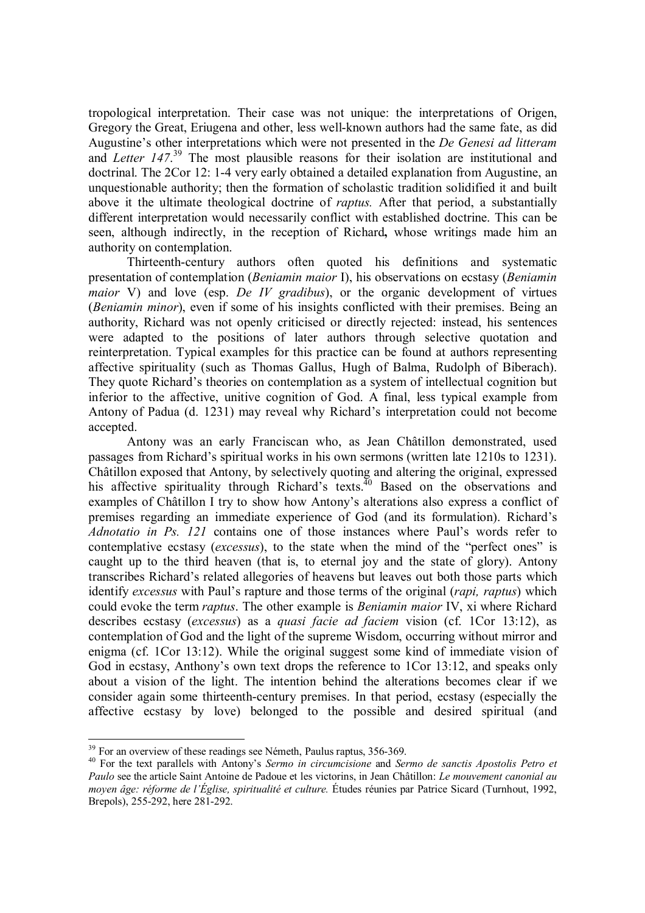tropological interpretation. Their case was not unique: the interpretations of Origen, Gregory the Great, Eriugena and other, less well-known authors had the same fate, as did Augustine's other interpretations which were not presented in the *De Genesi ad litteram* and *Letter 147*. <sup>39</sup> The most plausible reasons for their isolation are institutional and doctrinal. The 2Cor 12: 1-4 very early obtained a detailed explanation from Augustine, an unquestionable authority; then the formation of scholastic tradition solidified it and built above it the ultimate theological doctrine of *raptus.* After that period, a substantially different interpretation would necessarily conflict with established doctrine. This can be seen, although indirectly, in the reception of Richard**,** whose writings made him an authority on contemplation.

Thirteenth-century authors often quoted his definitions and systematic presentation of contemplation (*Beniamin maior* I), his observations on ecstasy (*Beniamin maior* V) and love (esp. *De IV gradibus*), or the organic development of virtues (*Beniamin minor*), even if some of his insights conflicted with their premises. Being an authority, Richard was not openly criticised or directly rejected: instead, his sentences were adapted to the positions of later authors through selective quotation and reinterpretation. Typical examples for this practice can be found at authors representing affective spirituality (such as Thomas Gallus, Hugh of Balma, Rudolph of Biberach). They quote Richard's theories on contemplation as a system of intellectual cognition but inferior to the affective, unitive cognition of God. A final, less typical example from Antony of Padua (d. 1231) may reveal why Richard's interpretation could not become accepted.

Antony was an early Franciscan who, as Jean Châtillon demonstrated, used passages from Richard's spiritual works in his own sermons (written late 1210s to 1231). Châtillon exposed that Antony, by selectively quoting and altering the original, expressed his affective spirituality through Richard's texts.<sup>40</sup> Based on the observations and examples of Châtillon I try to show how Antony's alterations also express a conflict of premises regarding an immediate experience of God (and its formulation). Richard's *Adnotatio in Ps. 121* contains one of those instances where Paul's words refer to contemplative ecstasy (*excessus*), to the state when the mind of the "perfect ones" is caught up to the third heaven (that is, to eternal joy and the state of glory). Antony transcribes Richard's related allegories of heavens but leaves out both those parts which identify *excessus* with Paul's rapture and those terms of the original (*rapi, raptus*) which could evoke the term *raptus*. The other example is *Beniamin maior* IV, xi where Richard describes ecstasy (*excessus*) as a *quasi facie ad faciem* vision (cf. 1Cor 13:12), as contemplation of God and the light of the supreme Wisdom, occurring without mirror and enigma (cf. 1Cor 13:12). While the original suggest some kind of immediate vision of God in ecstasy, Anthony's own text drops the reference to 1Cor 13:12, and speaks only about a vision of the light. The intention behind the alterations becomes clear if we consider again some thirteenth-century premises. In that period, ecstasy (especially the affective ecstasy by love) belonged to the possible and desired spiritual (and

 $\overline{a}$ <sup>39</sup> For an overview of these readings see Németh, Paulus raptus, 356-369.

<sup>40</sup> For the text parallels with Antony's *Sermo in circumcisione* and *Sermo de sanctis Apostolis Petro et Paulo* see the article Saint Antoine de Padoue et les victorins, in Jean Châtillon: *Le mouvement canonial au moyen âge: réforme de l'Église, spiritualité et culture.* Études réunies par Patrice Sicard (Turnhout, 1992, Brepols), 255-292, here 281-292.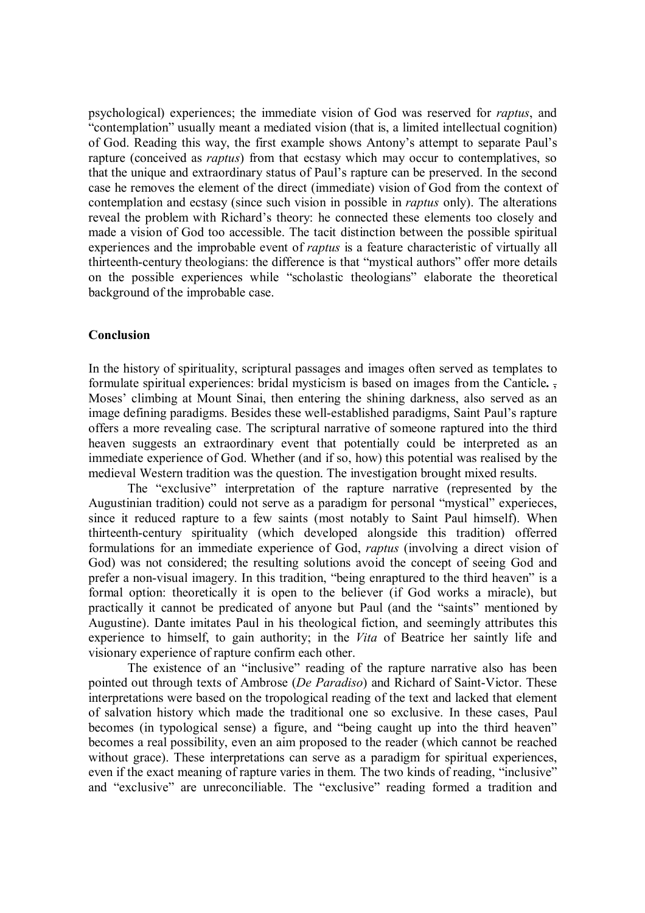psychological) experiences; the immediate vision of God was reserved for *raptus*, and "contemplation" usually meant a mediated vision (that is, a limited intellectual cognition) of God. Reading this way, the first example shows Antony's attempt to separate Paul's rapture (conceived as *raptus*) from that ecstasy which may occur to contemplatives, so that the unique and extraordinary status of Paul's rapture can be preserved. In the second case he removes the element of the direct (immediate) vision of God from the context of contemplation and ecstasy (since such vision in possible in *raptus* only). The alterations reveal the problem with Richard's theory: he connected these elements too closely and made a vision of God too accessible. The tacit distinction between the possible spiritual experiences and the improbable event of *raptus* is a feature characteristic of virtually all thirteenth-century theologians: the difference is that "mystical authors" offer more details on the possible experiences while "scholastic theologians" elaborate the theoretical background of the improbable case.

# **Conclusion**

In the history of spirituality, scriptural passages and images often served as templates to formulate spiritual experiences: bridal mysticism is based on images from the Canticle**.** , Moses' climbing at Mount Sinai, then entering the shining darkness, also served as an image defining paradigms. Besides these well-established paradigms, Saint Paul's rapture offers a more revealing case. The scriptural narrative of someone raptured into the third heaven suggests an extraordinary event that potentially could be interpreted as an immediate experience of God. Whether (and if so, how) this potential was realised by the medieval Western tradition was the question. The investigation brought mixed results.

The "exclusive" interpretation of the rapture narrative (represented by the Augustinian tradition) could not serve as a paradigm for personal "mystical" experieces, since it reduced rapture to a few saints (most notably to Saint Paul himself). When thirteenth-century spirituality (which developed alongside this tradition) offerred formulations for an immediate experience of God, *raptus* (involving a direct vision of God) was not considered; the resulting solutions avoid the concept of seeing God and prefer a non-visual imagery. In this tradition, "being enraptured to the third heaven" is a formal option: theoretically it is open to the believer (if God works a miracle), but practically it cannot be predicated of anyone but Paul (and the "saints" mentioned by Augustine). Dante imitates Paul in his theological fiction, and seemingly attributes this experience to himself, to gain authority; in the *Vita* of Beatrice her saintly life and visionary experience of rapture confirm each other.

The existence of an "inclusive" reading of the rapture narrative also has been pointed out through texts of Ambrose (*De Paradiso*) and Richard of Saint-Victor. These interpretations were based on the tropological reading of the text and lacked that element of salvation history which made the traditional one so exclusive. In these cases, Paul becomes (in typological sense) a figure, and "being caught up into the third heaven" becomes a real possibility, even an aim proposed to the reader (which cannot be reached without grace). These interpretations can serve as a paradigm for spiritual experiences, even if the exact meaning of rapture varies in them. The two kinds of reading, "inclusive" and "exclusive" are unreconciliable. The "exclusive" reading formed a tradition and